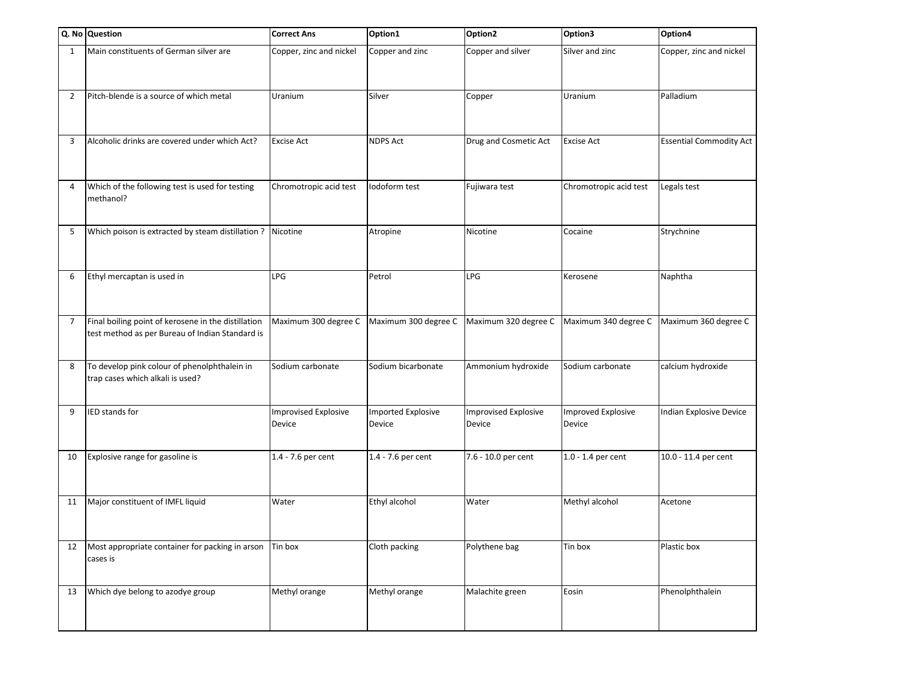|    | Q. No Question                                                                                         | <b>Correct Ans</b>                    | Option1                             | Option <sub>2</sub>                   | Option3                             | Option4                        |
|----|--------------------------------------------------------------------------------------------------------|---------------------------------------|-------------------------------------|---------------------------------------|-------------------------------------|--------------------------------|
| 1  | Main constituents of German silver are                                                                 | Copper, zinc and nickel               | Copper and zinc                     | Copper and silver                     | Silver and zinc                     | Copper, zinc and nickel        |
| 2  | Pitch-blende is a source of which metal                                                                | Uranium                               | Silver                              | Copper                                | Uranium                             | Palladium                      |
| 3  | Alcoholic drinks are covered under which Act?                                                          | <b>Excise Act</b>                     | <b>NDPS Act</b>                     | Drug and Cosmetic Act                 | <b>Excise Act</b>                   | <b>Essential Commodity Act</b> |
| 4  | Which of the following test is used for testing<br>methanol?                                           | Chromotropic acid test                | Iodoform test                       | Fujiwara test                         | Chromotropic acid test              | Legals test                    |
| 5  | Which poison is extracted by steam distillation ?                                                      | Nicotine                              | Atropine                            | Nicotine                              | Cocaine                             | Strychnine                     |
| 6  | Ethyl mercaptan is used in                                                                             | LPG                                   | Petrol                              | LPG                                   | Kerosene                            | Naphtha                        |
| 7  | Final boiling point of kerosene in the distillation<br>test method as per Bureau of Indian Standard is | Maximum 300 degree C                  | Maximum 300 degree C                | Maximum 320 degree C                  | Maximum 340 degree C                | Maximum 360 degree C           |
| 8  | To develop pink colour of phenolphthalein in<br>trap cases which alkali is used?                       | Sodium carbonate                      | Sodium bicarbonate                  | Ammonium hydroxide                    | Sodium carbonate                    | calcium hydroxide              |
| 9  | IED stands for                                                                                         | <b>Improvised Explosive</b><br>Device | <b>Imported Explosive</b><br>Device | <b>Improvised Explosive</b><br>Device | <b>Improved Explosive</b><br>Device | Indian Explosive Device        |
| 10 | Explosive range for gasoline is                                                                        | 1.4 - 7.6 per cent                    | 1.4 - 7.6 per cent                  | 7.6 - 10.0 per cent                   | 1.0 - 1.4 per cent                  | 10.0 - 11.4 per cent           |
| 11 | Major constituent of IMFL liquid                                                                       | Water                                 | Ethyl alcohol                       | Water                                 | Methyl alcohol                      | Acetone                        |
| 12 | Most appropriate container for packing in arson<br>cases is                                            | Tin box                               | Cloth packing                       | Polythene bag                         | Tin box                             | Plastic box                    |
| 13 | Which dye belong to azodye group                                                                       | Methyl orange                         | Methyl orange                       | Malachite green                       | Eosin                               | Phenolphthalein                |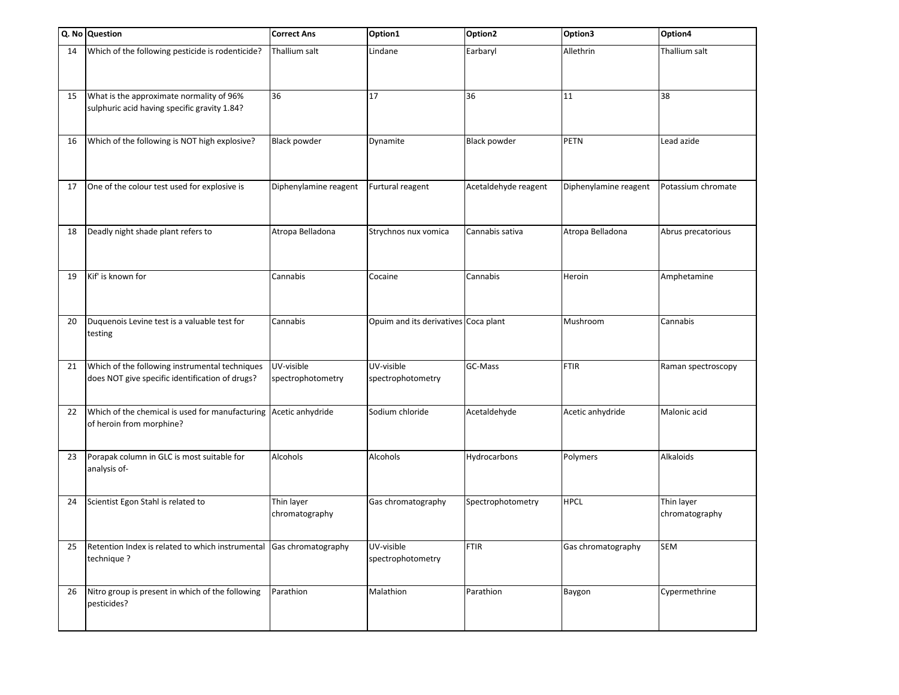|    | Q. No Question                                                                                    | <b>Correct Ans</b>              | Option1                              | Option <sub>2</sub>  | Option3               | Option4                      |
|----|---------------------------------------------------------------------------------------------------|---------------------------------|--------------------------------------|----------------------|-----------------------|------------------------------|
| 14 | Which of the following pesticide is rodenticide?                                                  | Thallium salt                   | Lindane                              | Earbaryl             | Allethrin             | Thallium salt                |
| 15 | What is the approximate normality of 96%<br>sulphuric acid having specific gravity 1.84?          | 36                              | 17                                   | 36                   | 11                    | 38                           |
| 16 | Which of the following is NOT high explosive?                                                     | <b>Black powder</b>             | Dynamite                             | <b>Black powder</b>  | <b>PETN</b>           | Lead azide                   |
| 17 | One of the colour test used for explosive is                                                      | Diphenylamine reagent           | Furtural reagent                     | Acetaldehyde reagent | Diphenylamine reagent | Potassium chromate           |
| 18 | Deadly night shade plant refers to                                                                | Atropa Belladona                | Strychnos nux vomica                 | Cannabis sativa      | Atropa Belladona      | Abrus precatorious           |
| 19 | Kif' is known for                                                                                 | Cannabis                        | Cocaine                              | Cannabis             | Heroin                | Amphetamine                  |
| 20 | Duquenois Levine test is a valuable test for<br>testing                                           | Cannabis                        | Opuim and its derivatives Coca plant |                      | Mushroom              | Cannabis                     |
| 21 | Which of the following instrumental techniques<br>does NOT give specific identification of drugs? | UV-visible<br>spectrophotometry | UV-visible<br>spectrophotometry      | GC-Mass              | <b>FTIR</b>           | Raman spectroscopy           |
| 22 | Which of the chemical is used for manufacturing<br>of heroin from morphine?                       | Acetic anhydride                | Sodium chloride                      | Acetaldehyde         | Acetic anhydride      | Malonic acid                 |
| 23 | Porapak column in GLC is most suitable for<br>analysis of-                                        | Alcohols                        | Alcohols                             | Hydrocarbons         | Polymers              | Alkaloids                    |
| 24 | Scientist Egon Stahl is related to                                                                | Thin layer<br>chromatography    | Gas chromatography                   | Spectrophotometry    | <b>HPCL</b>           | Thin layer<br>chromatography |
| 25 | Retention Index is related to which instrumental<br>technique ?                                   | Gas chromatography              | UV-visible<br>spectrophotometry      | <b>FTIR</b>          | Gas chromatography    | <b>SEM</b>                   |
| 26 | Nitro group is present in which of the following<br>pesticides?                                   | Parathion                       | Malathion                            | Parathion            | Baygon                | Cypermethrine                |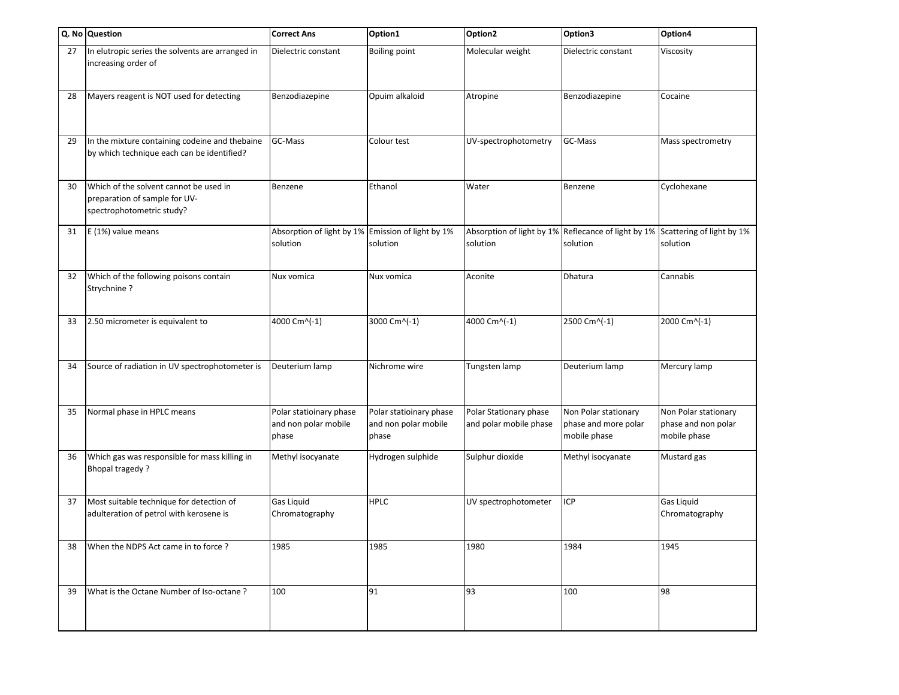|    | Q. No Question                                                                                       | <b>Correct Ans</b>                                            | Option1                                                  | Option <sub>2</sub>                              | Option3                                                         | Option4                                                     |
|----|------------------------------------------------------------------------------------------------------|---------------------------------------------------------------|----------------------------------------------------------|--------------------------------------------------|-----------------------------------------------------------------|-------------------------------------------------------------|
| 27 | In elutropic series the solvents are arranged in<br>increasing order of                              | Dielectric constant                                           | <b>Boiling point</b>                                     | Molecular weight                                 | Dielectric constant                                             | Viscosity                                                   |
| 28 | Mayers reagent is NOT used for detecting                                                             | Benzodiazepine                                                | Opuim alkaloid                                           | Atropine                                         | Benzodiazepine                                                  | Cocaine                                                     |
| 29 | In the mixture containing codeine and thebaine<br>by which technique each can be identified?         | GC-Mass                                                       | Colour test                                              | UV-spectrophotometry                             | GC-Mass                                                         | Mass spectrometry                                           |
| 30 | Which of the solvent cannot be used in<br>preparation of sample for UV-<br>spectrophotometric study? | Benzene                                                       | Ethanol                                                  | Water                                            | Benzene                                                         | Cyclohexane                                                 |
| 31 | E (1%) value means                                                                                   | Absorption of light by 1% Emission of light by 1%<br>solution | solution                                                 | solution                                         | Absorption of light by 1% Reflecance of light by 1%<br>solution | Scattering of light by 1%<br>solution                       |
| 32 | Which of the following poisons contain<br>Strychnine?                                                | Nux vomica                                                    | Nux vomica                                               | Aconite                                          | Dhatura                                                         | Cannabis                                                    |
| 33 | 2.50 micrometer is equivalent to                                                                     | 4000 Cm^(-1)                                                  | 3000 Cm^(-1)                                             | 4000 Cm^(-1)                                     | 2500 Cm^(-1)                                                    | 2000 Cm^(-1)                                                |
| 34 | Source of radiation in UV spectrophotometer is                                                       | Deuterium lamp                                                | Nichrome wire                                            | Tungsten lamp                                    | Deuterium lamp                                                  | Mercury lamp                                                |
| 35 | Normal phase in HPLC means                                                                           | Polar statioinary phase<br>and non polar mobile<br>phase      | Polar statioinary phase<br>and non polar mobile<br>phase | Polar Stationary phase<br>and polar mobile phase | Non Polar stationary<br>phase and more polar<br>mobile phase    | Non Polar stationary<br>phase and non polar<br>mobile phase |
| 36 | Which gas was responsible for mass killing in<br><b>Bhopal tragedy?</b>                              | Methyl isocyanate                                             | Hydrogen sulphide                                        | Sulphur dioxide                                  | Methyl isocyanate                                               | Mustard gas                                                 |
| 37 | Most suitable technique for detection of<br>adulteration of petrol with kerosene is                  | <b>Gas Liquid</b><br>Chromatography                           | <b>HPLC</b>                                              | UV spectrophotometer                             | <b>ICP</b>                                                      | Gas Liquid<br>Chromatography                                |
| 38 | When the NDPS Act came in to force?                                                                  | 1985                                                          | 1985                                                     | 1980                                             | 1984                                                            | 1945                                                        |
| 39 | What is the Octane Number of Iso-octane?                                                             | 100                                                           | 91                                                       | 93                                               | 100                                                             | 98                                                          |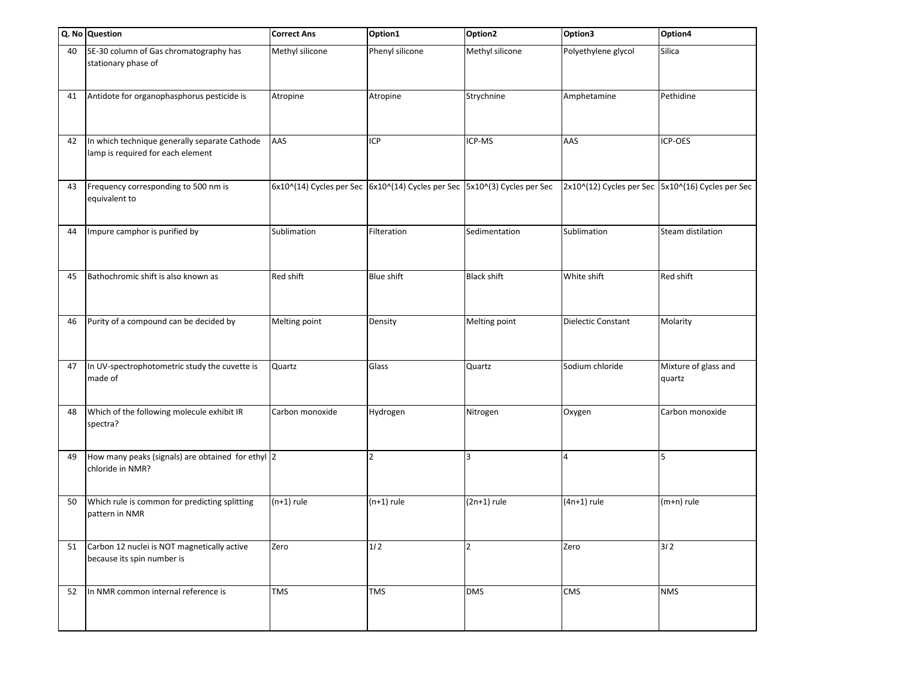|    | Q. No Question                                                                     | <b>Correct Ans</b> | Option1                                                                   | Option2            | Option3                   | Option4                                           |
|----|------------------------------------------------------------------------------------|--------------------|---------------------------------------------------------------------------|--------------------|---------------------------|---------------------------------------------------|
| 40 | SE-30 column of Gas chromatography has<br>stationary phase of                      | Methyl silicone    | Phenyl silicone                                                           | Methyl silicone    | Polyethylene glycol       | Silica                                            |
| 41 | Antidote for organophasphorus pesticide is                                         | Atropine           | Atropine                                                                  | Strychnine         | Amphetamine               | Pethidine                                         |
| 42 | In which technique generally separate Cathode<br>lamp is required for each element | AAS                | <b>ICP</b>                                                                | ICP-MS             | AAS                       | ICP-OES                                           |
| 43 | Frequency corresponding to 500 nm is<br>equivalent to                              |                    | 6x10^(14) Cycles per Sec 6x10^(14) Cycles per Sec 5x10^(3) Cycles per Sec |                    |                           | 2x10^(12) Cycles per Sec 5x10^(16) Cycles per Sec |
| 44 | Impure camphor is purified by                                                      | Sublimation        | Filteration                                                               | Sedimentation      | Sublimation               | Steam distilation                                 |
| 45 | Bathochromic shift is also known as                                                | Red shift          | <b>Blue shift</b>                                                         | <b>Black shift</b> | White shift               | Red shift                                         |
| 46 | Purity of a compound can be decided by                                             | Melting point      | Density                                                                   | Melting point      | <b>Dielectic Constant</b> | Molarity                                          |
| 47 | In UV-spectrophotometric study the cuvette is<br>made of                           | Quartz             | Glass                                                                     | Quartz             | Sodium chloride           | Mixture of glass and<br>quartz                    |
| 48 | Which of the following molecule exhibit IR<br>spectra?                             | Carbon monoxide    | Hydrogen                                                                  | Nitrogen           | Oxygen                    | Carbon monoxide                                   |
| 49 | How many peaks (signals) are obtained for ethyl 2<br>chloride in NMR?              |                    | $\overline{2}$                                                            | 3                  | 4                         | 5                                                 |
| 50 | Which rule is common for predicting splitting<br>pattern in NMR                    | $(n+1)$ rule       | $(n+1)$ rule                                                              | $(2n+1)$ rule      | $(4n+1)$ rule             | $(m+n)$ rule                                      |
| 51 | Carbon 12 nuclei is NOT magnetically active<br>because its spin number is          | Zero               | $1/2$                                                                     | $\overline{2}$     | Zero                      | 312                                               |
| 52 | In NMR common internal reference is                                                | <b>TMS</b>         | <b>TMS</b>                                                                | <b>DMS</b>         | CMS                       | <b>NMS</b>                                        |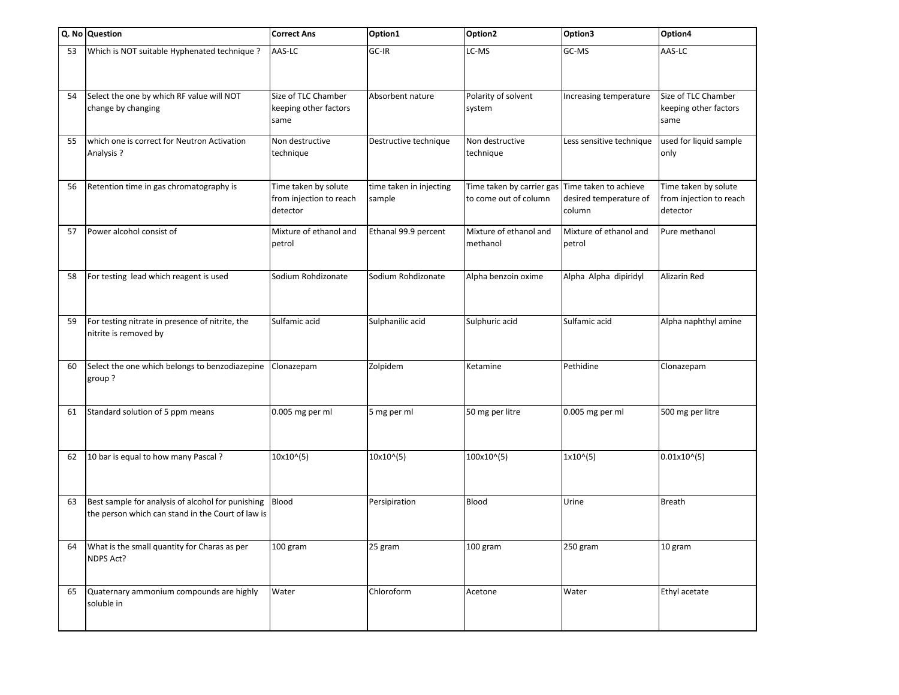|    | Q. No Question                                                                                         | <b>Correct Ans</b>                                          | Option1                           | Option <sub>2</sub>                                | Option3                                                   | Option4                                                     |
|----|--------------------------------------------------------------------------------------------------------|-------------------------------------------------------------|-----------------------------------|----------------------------------------------------|-----------------------------------------------------------|-------------------------------------------------------------|
| 53 | Which is NOT suitable Hyphenated technique ?                                                           | AAS-LC                                                      | GC-IR                             | LC-MS                                              | GC-MS                                                     | AAS-LC                                                      |
| 54 | Select the one by which RF value will NOT<br>change by changing                                        | Size of TLC Chamber<br>keeping other factors<br>same        | Absorbent nature                  | Polarity of solvent<br>system                      | Increasing temperature                                    | Size of TLC Chamber<br>keeping other factors<br>same        |
| 55 | which one is correct for Neutron Activation<br>Analysis ?                                              | Non destructive<br>technique                                | Destructive technique             | Non destructive<br>technique                       | Less sensitive technique                                  | used for liquid sample<br>only                              |
| 56 | Retention time in gas chromatography is                                                                | Time taken by solute<br>from injection to reach<br>detector | time taken in injecting<br>sample | Time taken by carrier gas<br>to come out of column | Time taken to achieve<br>desired temperature of<br>column | Time taken by solute<br>from injection to reach<br>detector |
| 57 | Power alcohol consist of                                                                               | Mixture of ethanol and<br>petrol                            | Ethanal 99.9 percent              | Mixture of ethanol and<br>methanol                 | Mixture of ethanol and<br>petrol                          | Pure methanol                                               |
| 58 | For testing lead which reagent is used                                                                 | Sodium Rohdizonate                                          | Sodium Rohdizonate                | Alpha benzoin oxime                                | Alpha Alpha dipiridyl                                     | Alizarin Red                                                |
| 59 | For testing nitrate in presence of nitrite, the<br>nitrite is removed by                               | Sulfamic acid                                               | Sulphanilic acid                  | Sulphuric acid                                     | Sulfamic acid                                             | Alpha naphthyl amine                                        |
| 60 | Select the one which belongs to benzodiazepine<br>group?                                               | Clonazepam                                                  | Zolpidem                          | Ketamine                                           | Pethidine                                                 | Clonazepam                                                  |
| 61 | Standard solution of 5 ppm means                                                                       | 0.005 mg per ml                                             | 5 mg per ml                       | 50 mg per litre                                    | 0.005 mg per ml                                           | 500 mg per litre                                            |
| 62 | 10 bar is equal to how many Pascal?                                                                    | 10x10^(5)                                                   | 10x10^(5)                         | 100x10^(5)                                         | $1x10^(5)$                                                | 0.01x10(5)                                                  |
| 63 | Best sample for analysis of alcohol for punishing<br>the person which can stand in the Court of law is | Blood                                                       | Persipiration                     | <b>Blood</b>                                       | Urine                                                     | <b>Breath</b>                                               |
| 64 | What is the small quantity for Charas as per<br>NDPS Act?                                              | 100 gram                                                    | 25 gram                           | 100 gram                                           | 250 gram                                                  | 10 gram                                                     |
| 65 | Quaternary ammonium compounds are highly<br>soluble in                                                 | Water                                                       | Chloroform                        | Acetone                                            | Water                                                     | Ethyl acetate                                               |